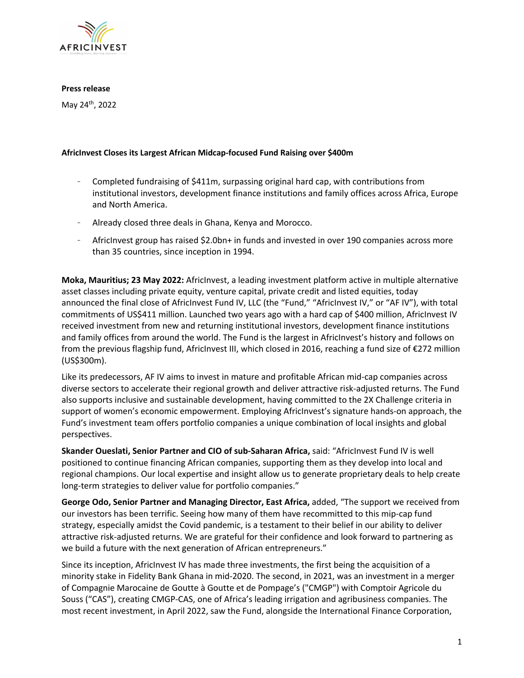

### **Press release**

May 24th, 2022

## **AfricInvest Closes its Largest African Midcap-focused Fund Raising over \$400m**

- Completed fundraising of \$411m, surpassing original hard cap, with contributions from institutional investors, development finance institutions and family offices across Africa, Europe and North America.
- Already closed three deals in Ghana, Kenya and Morocco.
- AfricInvest group has raised \$2.0bn+ in funds and invested in over 190 companies across more than 35 countries, since inception in 1994.

**Moka, Mauritius; 23 May 2022:** AfricInvest, a leading investment platform active in multiple alternative asset classes including private equity, venture capital, private credit and listed equities, today announced the final close of AfricInvest Fund IV, LLC (the "Fund," "AfricInvest IV," or "AF IV"), with total commitments of US\$411 million. Launched two years ago with a hard cap of \$400 million, AfricInvest IV received investment from new and returning institutional investors, development finance institutions and family offices from around the world. The Fund is the largest in AfricInvest's history and follows on from the previous flagship fund, AfricInvest III, which closed in 2016, reaching a fund size of €272 million (US\$300m).

Like its predecessors, AF IV aims to invest in mature and profitable African mid-cap companies across diverse sectors to accelerate their regional growth and deliver attractive risk-adjusted returns. The Fund also supports inclusive and sustainable development, having committed to the 2X Challenge criteria in support of women's economic empowerment. Employing AfricInvest's signature hands-on approach, the Fund's investment team offers portfolio companies a unique combination of local insights and global perspectives.

**Skander Oueslati, Senior Partner and CIO of sub-Saharan Africa,** said: "AfricInvest Fund IV is well positioned to continue financing African companies, supporting them as they develop into local and regional champions. Our local expertise and insight allow us to generate proprietary deals to help create long-term strategies to deliver value for portfolio companies."

**George Odo, Senior Partner and Managing Director, East Africa,** added, "The support we received from our investors has been terrific. Seeing how many of them have recommitted to this mip-cap fund strategy, especially amidst the Covid pandemic, is a testament to their belief in our ability to deliver attractive risk-adjusted returns. We are grateful for their confidence and look forward to partnering as we build a future with the next generation of African entrepreneurs."

Since its inception, AfricInvest IV has made three investments, the first being the acquisition of a minority stake in Fidelity Bank Ghana in mid-2020. The second, in 2021, was an investment in a merger of Compagnie Marocaine de Goutte à Goutte et de Pompage's ("CMGP") with Comptoir Agricole du Souss ("CAS"), creating CMGP-CAS, one of Africa's leading irrigation and agribusiness companies. The most recent investment, in April 2022, saw the Fund, alongside the International Finance Corporation,